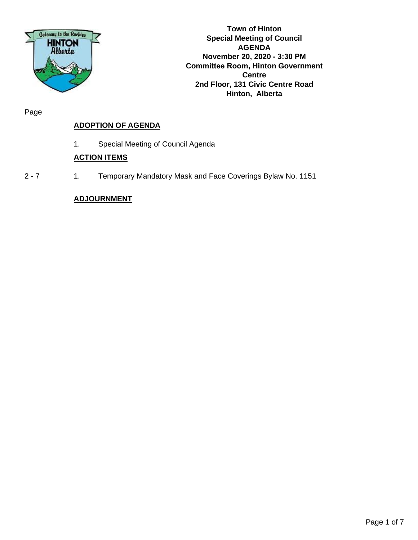

**Town of Hinton Special Meeting of Council AGENDA November 20, 2020 - 3:30 PM Committee Room, Hinton Government Centre 2nd Floor, 131 Civic Centre Road Hinton, Alberta**

Page

# **ADOPTION OF AGENDA**

1. Special Meeting of Council Agenda

### **ACTION ITEMS**

2 - 7 1. Temporary Mandatory Mask and Face Coverings Bylaw No. 1151

#### **ADJOURNMENT**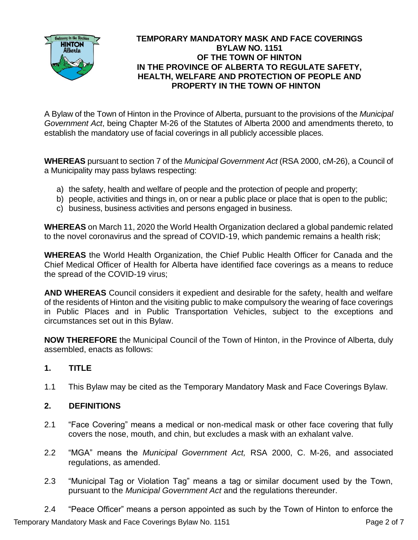

### **TEMPORARY MANDATORY MASK AND FACE COVERINGS BYLAW NO. 1151 OF THE TOWN OF HINTON IN THE PROVINCE OF ALBERTA TO REGULATE SAFETY, HEALTH, WELFARE AND PROTECTION OF PEOPLE AND PROPERTY IN THE TOWN OF HINTON**

A Bylaw of the Town of Hinton in the Province of Alberta, pursuant to the provisions of the *Municipal Government Act*, being Chapter M-26 of the Statutes of Alberta 2000 and amendments thereto, to establish the mandatory use of facial coverings in all publicly accessible places.

**WHEREAS** pursuant to section 7 of the *Municipal Government Act* (RSA 2000, cM-26), a Council of a Municipality may pass bylaws respecting:

- a) the safety, health and welfare of people and the protection of people and property;
- b) people, activities and things in, on or near a public place or place that is open to the public;
- c) business, business activities and persons engaged in business.

**WHEREAS** on March 11, 2020 the World Health Organization declared a global pandemic related to the novel coronavirus and the spread of COVID-19, which pandemic remains a health risk;

**WHEREAS** the World Health Organization, the Chief Public Health Officer for Canada and the Chief Medical Officer of Health for Alberta have identified face coverings as a means to reduce the spread of the COVID-19 virus;

**AND WHEREAS** Council considers it expedient and desirable for the safety, health and welfare of the residents of Hinton and the visiting public to make compulsory the wearing of face coverings in Public Places and in Public Transportation Vehicles, subject to the exceptions and circumstances set out in this Bylaw.

**NOW THEREFORE** the Municipal Council of the Town of Hinton, in the Province of Alberta, duly assembled, enacts as follows:

# **1. TITLE**

1.1 This Bylaw may be cited as the Temporary Mandatory Mask and Face Coverings Bylaw.

# **2. DEFINITIONS**

- 2.1 "Face Covering" means a medical or non-medical mask or other face covering that fully covers the nose, mouth, and chin, but excludes a mask with an exhalant valve.
- 2.2 "MGA" means the *Municipal Government Act,* RSA 2000, C. M-26, and associated regulations, as amended.
- 2.3 "Municipal Tag or Violation Tag" means a tag or similar document used by the Town, pursuant to the *Municipal Government Act* and the regulations thereunder.

2.4 "Peace Officer" means a person appointed as such by the Town of Hinton to enforce the Temporary Mandatory Mask and Face Coverings Bylaw No. 1151 **Page 2 of 7** Page 2 of 7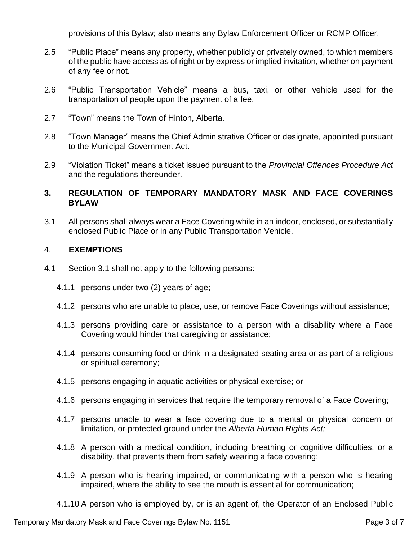provisions of this Bylaw; also means any Bylaw Enforcement Officer or RCMP Officer.

- 2.5 "Public Place" means any property, whether publicly or privately owned, to which members of the public have access as of right or by express or implied invitation, whether on payment of any fee or not.
- 2.6 "Public Transportation Vehicle" means a bus, taxi, or other vehicle used for the transportation of people upon the payment of a fee.
- 2.7 "Town" means the Town of Hinton, Alberta.
- 2.8 "Town Manager" means the Chief Administrative Officer or designate, appointed pursuant to the Municipal Government Act.
- 2.9 "Violation Ticket" means a ticket issued pursuant to the *Provincial Offences Procedure Act* and the regulations thereunder.

### **3. REGULATION OF TEMPORARY MANDATORY MASK AND FACE COVERINGS BYLAW**

3.1 All persons shall always wear a Face Covering while in an indoor, enclosed, or substantially enclosed Public Place or in any Public Transportation Vehicle.

#### 4. **EXEMPTIONS**

- 4.1 Section 3.1 shall not apply to the following persons:
	- 4.1.1 persons under two (2) years of age;
	- 4.1.2 persons who are unable to place, use, or remove Face Coverings without assistance;
	- 4.1.3 persons providing care or assistance to a person with a disability where a Face Covering would hinder that caregiving or assistance;
	- 4.1.4 persons consuming food or drink in a designated seating area or as part of a religious or spiritual ceremony;
	- 4.1.5 persons engaging in aquatic activities or physical exercise; or
	- 4.1.6 persons engaging in services that require the temporary removal of a Face Covering;
	- 4.1.7 persons unable to wear a face covering due to a mental or physical concern or limitation, or protected ground under the *Alberta Human Rights Act;*
	- 4.1.8 A person with a medical condition, including breathing or cognitive difficulties, or a disability, that prevents them from safely wearing a face covering;
	- 4.1.9 A person who is hearing impaired, or communicating with a person who is hearing impaired, where the ability to see the mouth is essential for communication;
	- 4.1.10 A person who is employed by, or is an agent of, the Operator of an Enclosed Public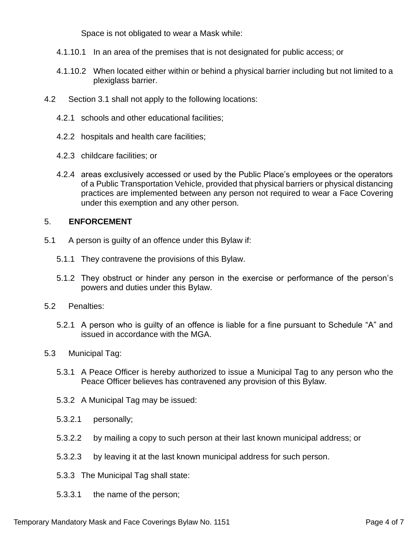Space is not obligated to wear a Mask while:

- 4.1.10.1 In an area of the premises that is not designated for public access; or
- 4.1.10.2 When located either within or behind a physical barrier including but not limited to a plexiglass barrier.
- 4.2 Section 3.1 shall not apply to the following locations:
	- 4.2.1 schools and other educational facilities;
	- 4.2.2 hospitals and health care facilities;
	- 4.2.3 childcare facilities; or
	- 4.2.4 areas exclusively accessed or used by the Public Place's employees or the operators of a Public Transportation Vehicle, provided that physical barriers or physical distancing practices are implemented between any person not required to wear a Face Covering under this exemption and any other person.

# 5. **ENFORCEMENT**

- 5.1 A person is guilty of an offence under this Bylaw if:
	- 5.1.1 They contravene the provisions of this Bylaw.
	- 5.1.2 They obstruct or hinder any person in the exercise or performance of the person's powers and duties under this Bylaw.
- 5.2 Penalties:
	- 5.2.1 A person who is guilty of an offence is liable for a fine pursuant to Schedule "A" and issued in accordance with the MGA.
- 5.3 Municipal Tag:
	- 5.3.1 A Peace Officer is hereby authorized to issue a Municipal Tag to any person who the Peace Officer believes has contravened any provision of this Bylaw.
	- 5.3.2 A Municipal Tag may be issued:
	- 5.3.2.1 personally;
	- 5.3.2.2 by mailing a copy to such person at their last known municipal address; or
	- 5.3.2.3 by leaving it at the last known municipal address for such person.
	- 5.3.3 The Municipal Tag shall state:
	- 5.3.3.1 the name of the person;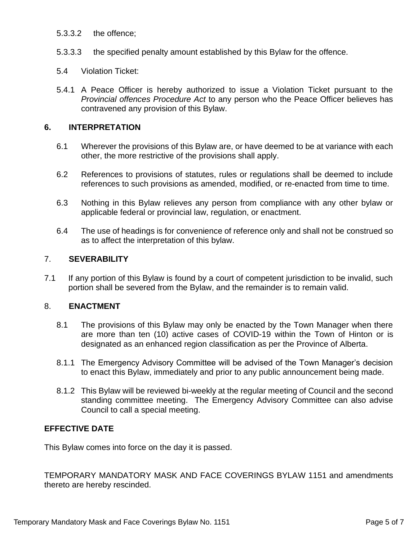- 5.3.3.2 the offence;
- 5.3.3.3 the specified penalty amount established by this Bylaw for the offence.
- 5.4 Violation Ticket:
- 5.4.1 A Peace Officer is hereby authorized to issue a Violation Ticket pursuant to the *Provincial offences Procedure Act* to any person who the Peace Officer believes has contravened any provision of this Bylaw.

#### **6. INTERPRETATION**

- 6.1 Wherever the provisions of this Bylaw are, or have deemed to be at variance with each other, the more restrictive of the provisions shall apply.
- 6.2 References to provisions of statutes, rules or regulations shall be deemed to include references to such provisions as amended, modified, or re-enacted from time to time.
- 6.3 Nothing in this Bylaw relieves any person from compliance with any other bylaw or applicable federal or provincial law, regulation, or enactment.
- 6.4 The use of headings is for convenience of reference only and shall not be construed so as to affect the interpretation of this bylaw.

### 7. **SEVERABILITY**

7.1 If any portion of this Bylaw is found by a court of competent jurisdiction to be invalid, such portion shall be severed from the Bylaw, and the remainder is to remain valid.

#### 8. **ENACTMENT**

- 8.1 The provisions of this Bylaw may only be enacted by the Town Manager when there are more than ten (10) active cases of COVID-19 within the Town of Hinton or is designated as an enhanced region classification as per the Province of Alberta.
- 8.1.1 The Emergency Advisory Committee will be advised of the Town Manager's decision to enact this Bylaw, immediately and prior to any public announcement being made.
- 8.1.2 This Bylaw will be reviewed bi-weekly at the regular meeting of Council and the second standing committee meeting. The Emergency Advisory Committee can also advise Council to call a special meeting.

## **EFFECTIVE DATE**

This Bylaw comes into force on the day it is passed.

TEMPORARY MANDATORY MASK AND FACE COVERINGS BYLAW 1151 and amendments thereto are hereby rescinded.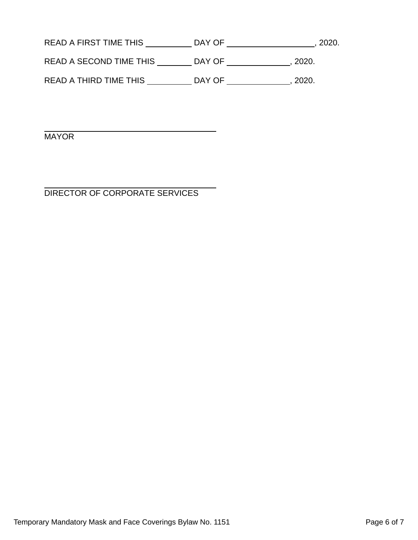READ A FIRST TIME THIS \_\_\_\_\_\_\_\_\_\_\_DAY OF \_\_\_\_\_\_\_\_\_\_\_\_\_\_\_\_\_\_\_\_\_\_\_, 2020.

READ A SECOND TIME THIS \_\_\_\_\_\_\_\_\_ DAY OF \_\_\_\_\_\_\_\_\_\_\_\_\_\_, 2020.

READ A THIRD TIME THIS \_\_\_\_\_\_\_\_\_\_\_\_ DAY OF \_\_\_\_\_\_\_\_\_\_\_\_\_\_\_, 2020.

**MAYOR** 

DIRECTOR OF CORPORATE SERVICES